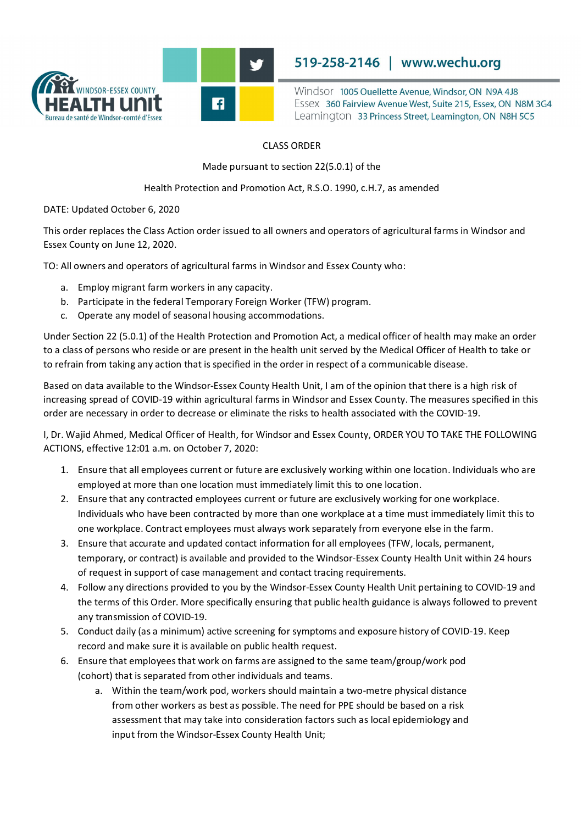

**519-258-2146 | www.wechu.org**<br>Windsor 1005 Ouellette Avenue, Windsor, ON N9A 4J8

519-258-2146 | www.wechu.org<br>
Windsor 1005 Ouellette Avenue, Windsor, ON N9A 4J8<br>
Essex 360 Fairview Avenue West, Suite 215, Essex, ON N8M 3G4<br>
Leamington 33 Princess Street, Leamington, ON N8H 5C5 Essex 360 Fairview Avenue West, Suite 215, Essex, ON N8M 3G4 Leamington 33 Princess Street, Leamington, ON N8H 5C5

## CLASS ORDER

Made pursuant to section 22(5.0.1) of the

Health Protection and Promotion Act, R.S.O. 1990, c.H.7, as amended

DATE: Updated October 6, 2020

This order replaces the Class Action order issued to all owners and operators of agricultural farms in Windsor and Essex County on June 12, 2020.

TO: All owners and operators of agricultural farms in Windsor and Essex County who:

- a. Employ migrant farm workers in any capacity.
- b. Participate in the federal Temporary Foreign Worker (TFW) program.
- c. Operate any model of seasonal housing accommodations.

 Under Section 22 (5.0.1) of the Health Protection and Promotion Act, a medical officer of health may make an order to a class of persons who reside or are present in the health unit served by the Medical Officer of Health to take or to refrain from taking any action that is specified in the order in respect of a communicable disease.

 Based on data available to the Windsor-Essex County Health Unit, I am of the opinion that there is a high risk of order are necessary in order to decrease or eliminate the risks to health associated with the COVID-19. increasing spread of COVID-19 within agricultural farms in Windsor and Essex County. The measures specified in this

 I, Dr. Wajid Ahmed, Medical Officer of Health, for Windsor and Essex County, ORDER YOU TO TAKE THE FOLLOWING ACTIONS, effective 12:01 a.m. on October 7, 2020:

- 1. Ensure that all employees current or future are exclusively working within one location. Individuals who are employed at more than one location must immediately limit this to one location.
- 2. Ensure that any contracted employees current or future are exclusively working for one workplace. Individuals who have been contracted by more than one workplace at a time must immediately limit this to one workplace. Contract employees must always work separately from everyone else in the farm.
- of request in support of case management and contact tracing requirements. 3. Ensure that accurate and updated contact information for all employees (TFW, locals, permanent, temporary, or contract) is available and provided to the Windsor-Essex County Health Unit within 24 hours
- 4. Follow any directions provided to you by the Windsor-Essex County Health Unit pertaining to COVID-19 and any transmission of COVID-19. the terms of this Order. More specifically ensuring that public health guidance is always followed to prevent
- 5. Conduct daily (as a minimum) active screening for symptoms and exposure history of COVID-19. Keep record and make sure it is available on public health request.
- 6. Ensure that employees that work on farms are assigned to the same team/group/work pod (cohort) that is separated from other individuals and teams.
	- a. Within the team/work pod, workers should maintain a two-metre physical distance from other workers as best as possible. The need for PPE should be based on a risk assessment that may take into consideration factors such as local epidemiology and input from the Windsor-Essex County Health Unit;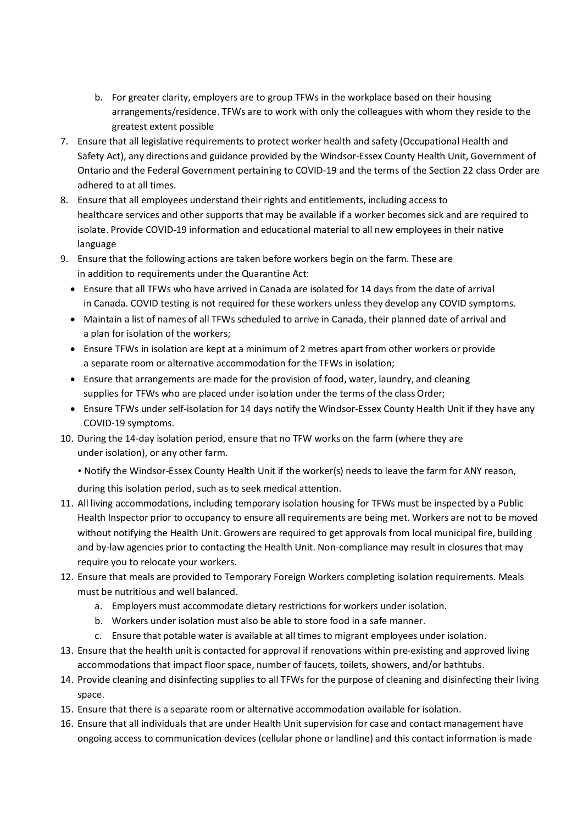- arrangements/residence. TFWs are to work with only the colleagues with whom they reside to the b. For greater clarity, employers are to group TFWs in the workplace based on their housing greatest extent possible
- 7. Ensure that all legislative requirements to protect worker health and safety (Occupational Health and Safety Act), any directions and guidance provided by the Windsor-Essex County Health Unit, Government of Ontario and the Federal Government pertaining to COVID-19 and the terms of the Section 22 class Order are adhered to at all times.
- 8. Ensure that all employees understand their rights and entitlements, including access to healthcare services and other supports that may be available if a worker becomes sick and are required to isolate. Provide COVID-19 information and educational material to all new employees in their native language
- 9. Ensure that the following actions are taken before workers begin on the farm. These are in addition to requirements under the Quarantine Act:
	- · Ensure that all TFWs who have arrived in Canada are isolated for 14 days from the date of arrival in Canada. COVID testing is not required for these workers unless they develop any COVID symptoms.
	- · Maintain a list of names of all TFWs scheduled to arrive in Canada, their planned date of arrival and a plan for isolation of the workers;
	- · Ensure TFWs in isolation are kept at a minimum of 2 metres apart from other workers or provide a separate room or alternative accommodation for the TFWs in isolation;
	- · Ensure that arrangements are made for the provision of food, water, laundry, and cleaning supplies for TFWs who are placed under isolation under the terms of the class Order;
	- · Ensure TFWs under self-isolation for 14 days notify the Windsor-Essex County Health Unit if they have any COVID-19 symptoms.
- 10. During the 14-day isolation period, ensure that no TFW works on the farm (where they are under isolation), or any other farm.
	- Notify the Windsor-Essex County Health Unit if the worker(s) needs to leave the farm for ANY reason,

during this isolation period, such as to seek medical attention.

- 11. All living accommodations, including temporary isolation housing for TFWs must be inspected by a Public Health Inspector prior to occupancy to ensure all requirements are being met. Workers are not to be moved without notifying the Health Unit. Growers are required to get approvals from local municipal fire, building and by-law agencies prior to contacting the Health Unit. Non-compliance may result in closures that may require you to relocate your workers.
- must be nutritious and well balanced. 12. Ensure that meals are provided to Temporary Foreign Workers completing isolation requirements. Meals
	- a. Employers must accommodate dietary restrictions for workers under isolation.
	- b. Workers under isolation must also be able to store food in a safe manner.
	- c. Ensure that potable water is available at all times to migrant employees under isolation.
- 13. Ensure that the health unit is contacted for approval if renovations within pre-existing and approved living accommodations that impact floor space, number of faucets, toilets, showers, and/or bathtubs.
- 14. Provide cleaning and disinfecting supplies to all TFWs for the purpose of cleaning and disinfecting their living space.
- 15. Ensure that there is a separate room or alternative accommodation available for isolation.
- 16. Ensure that all individuals that are under Health Unit supervision for case and contact management have ongoing access to communication devices (cellular phone or landline) and this contact information is made